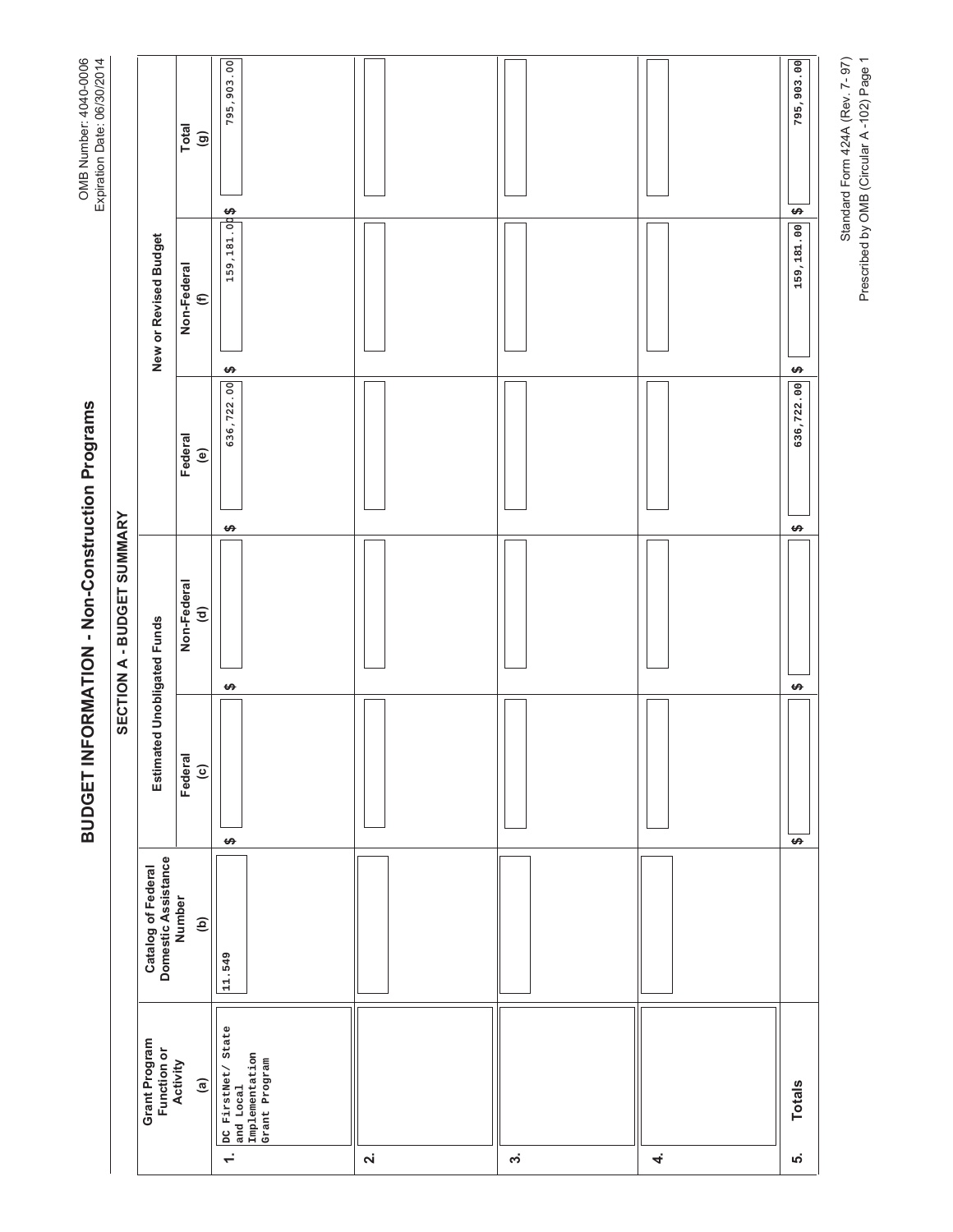BUDGET INFORMATION - Non-Construction Programs

OMB Number: 4040-0006<br>Expiration Date: 06/30/2014

Standard Form 424A (Rev. 7-97)<br>Prescribed by OMB (Circular A-102) Page 1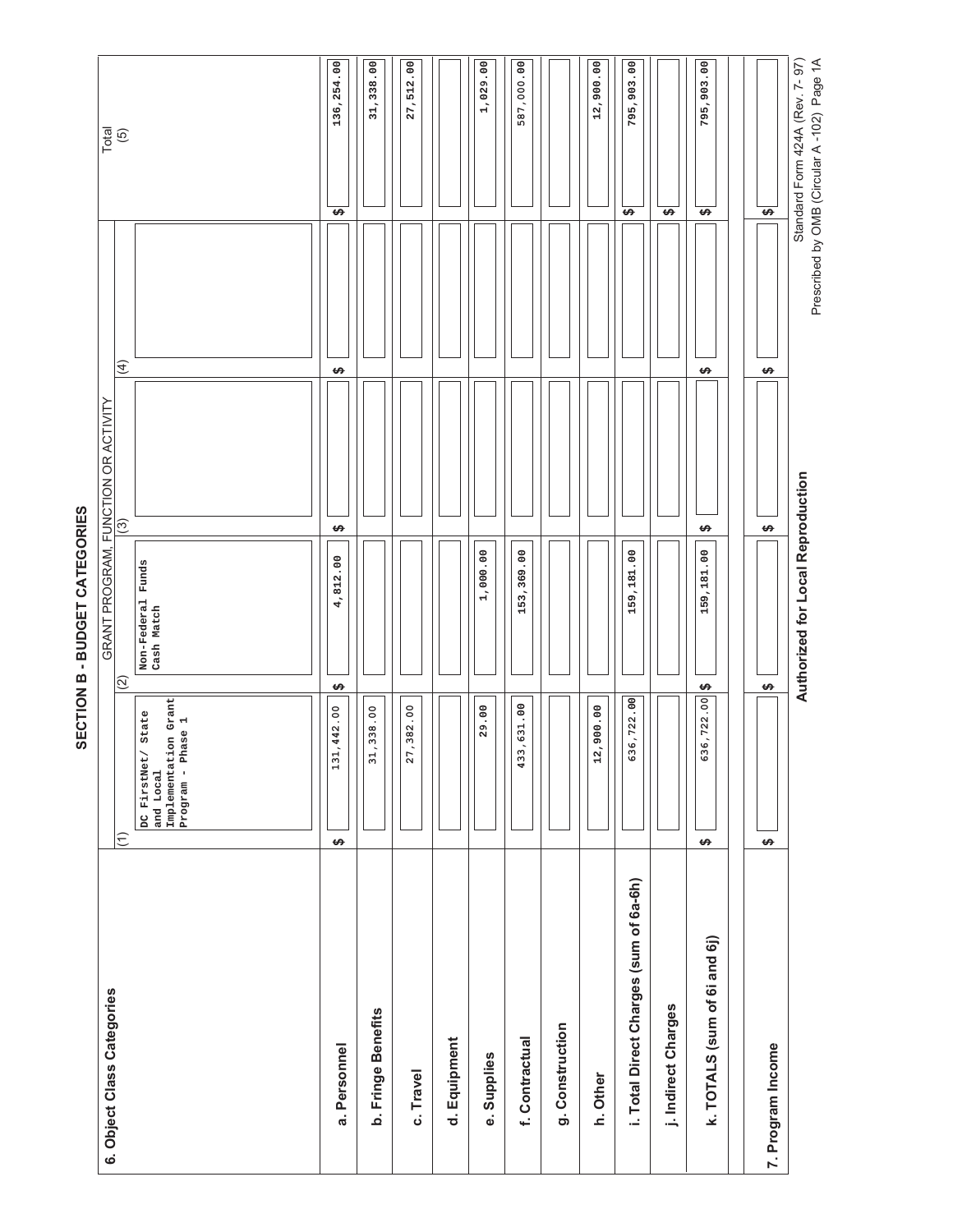| 6. Object Class Categories             |                                                                                 |                                    | GRANT PROGRAM, FUNCTION OR ACTIVITY |                   |                                       |
|----------------------------------------|---------------------------------------------------------------------------------|------------------------------------|-------------------------------------|-------------------|---------------------------------------|
|                                        | $\left( \begin{matrix} 1 \\ 1 \end{matrix} \right)$                             | $(2)$                              | $\widehat{\mathcal{O}}$             | $\overline{4}$    | Total<br>(5)                          |
|                                        | Implementation Grant<br>State<br>Program - Phase 1<br>DC FirstNet/<br>and Local | Funds<br>Non-Federal<br>Cash Match |                                     |                   |                                       |
| a. Personnel                           | ,442.00<br>131<br>$\bullet$                                                     | 4,812.00<br><b>SA</b>              | $\Theta$                            | $\leftrightarrow$ | 136,254.00<br>$\overline{S}$          |
| b. Fringe Benefits                     | ,338.00<br>$\frac{1}{2}$                                                        |                                    |                                     |                   | 31,338.00                             |
| c. Travel                              | ,382.00<br>$\overline{2}$                                                       |                                    |                                     |                   | 27,512.00                             |
| d. Equipment                           |                                                                                 |                                    |                                     |                   |                                       |
| e. Supplies                            | 29.00                                                                           | 1,000.00                           |                                     |                   | 1,029.00                              |
| f. Contractual                         | 433,631.00                                                                      | 153,369.00                         |                                     |                   | 587,000.00                            |
| g. Construction                        |                                                                                 |                                    |                                     |                   |                                       |
| h. Other                               | 00.006<br>$\frac{2}{1}$                                                         |                                    |                                     |                   | 12,900.00                             |
| i. Total Direct Charges (sum of 6a-6h) | 636,722.00                                                                      | 159,181.00                         |                                     |                   | 795,903.00<br>$\overline{H}$          |
| j. Indirect Charges                    |                                                                                 |                                    |                                     |                   | $\overline{\mathbf{v}}$               |
| k. TOTALS (sum of 6i and 6j)           | 636,722.00<br>$\leftrightarrow$                                                 | 159,181.00<br>$\rightarrow$        | $\bullet$                           | $\theta$          | 795,903.00<br>$\overline{\mathbf{v}}$ |
| 7. Program Income                      | $\leftrightarrow$                                                               | $\rightarrow$                      | $\leftrightarrow$                   | $\leftrightarrow$ | $\overline{\mathbf{v}}$               |
|                                        |                                                                                 | Authorized for Local Reproduction  |                                     |                   | Standard Form 424A (Rev. 7-97)        |

SECTION B - BUDGET CATEGORIES **6(&7,21 % %8'\*(7 &\$7(\*25,(6**

Prescribed by OMB (Circular A-102) Page 1A Prescribed by OMB (Circular A -102) Page 1A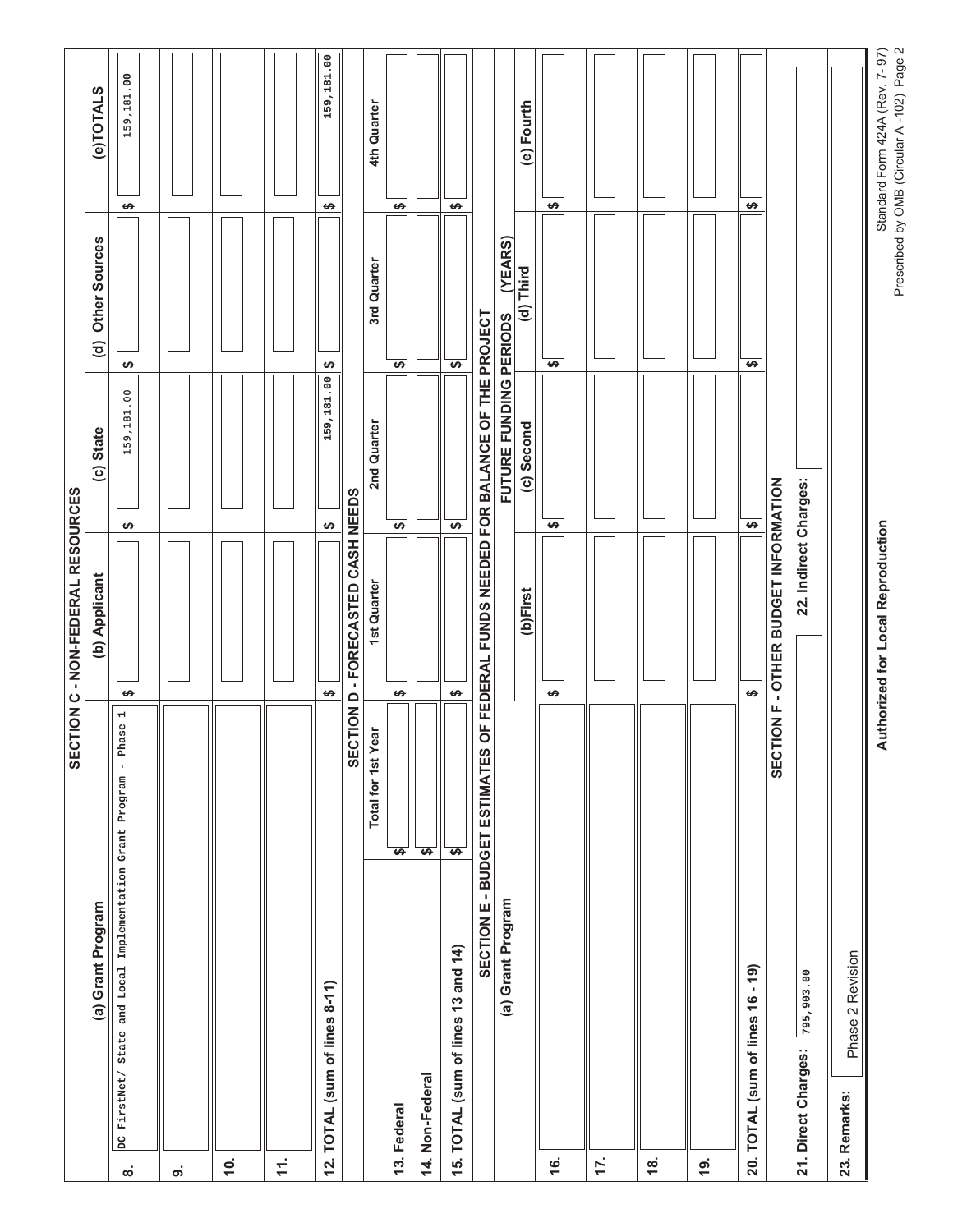|                                |                                              |                                                   | SECTION C - NON-FEDERAL RESOURCES                  |                   |                        |                                |                                                                             |
|--------------------------------|----------------------------------------------|---------------------------------------------------|----------------------------------------------------|-------------------|------------------------|--------------------------------|-----------------------------------------------------------------------------|
|                                | (a) Grant Program                            |                                                   | (b) Applicant                                      |                   | (c) State              | Other Sources<br>$\widehat{c}$ | (e)TOTALS                                                                   |
| DC FirstNet/<br>$\dot{\infty}$ | State and Local Implementation Grant Program | $\overline{\phantom{a}}$<br>Phase<br>$\mathbf{r}$ | $\pmb{\varphi}$                                    | ↮                 | 159,181.00             | $\pmb{\varphi}$                | 159,181.00<br>$\pmb{\varphi}$                                               |
| ၐ                              |                                              |                                                   |                                                    |                   |                        |                                |                                                                             |
| <b>10.</b>                     |                                              |                                                   |                                                    |                   |                        |                                |                                                                             |
| $\pm$                          |                                              |                                                   |                                                    |                   |                        |                                |                                                                             |
|                                | 12. TOTAL (sum of lines 8-11)                |                                                   | ↮                                                  | ↮                 | 159,181.00             | ↮                              | 159,181.00<br>↮                                                             |
|                                |                                              |                                                   | SECTION D - FORECASTED CASH NEEDS                  |                   |                        |                                |                                                                             |
|                                |                                              | <b>Total for 1st Year</b>                         | 1st Quarter                                        |                   | 2nd Quarter            | 3rd Quarter                    | 4th Quarter                                                                 |
| 14. Non-Federal<br>13. Federal |                                              | $\overline{\mathbf{v}}$<br>$\overline{H}$         | $\pmb{\varphi}$                                    | $\leftrightarrow$ |                        | $\overline{\mathbf{v}}$        | ↮                                                                           |
|                                | 15. TOTAL (sum of lines 13 and 14)           | $\overline{H}$                                    | $\leftrightarrow$                                  | $\overline{P}$    |                        | $\overline{H}$                 | ₩                                                                           |
|                                |                                              | SECTION E - BUDGET ESTIMATES                      | OF FEDERAL FUNDS NEEDED FOR BALANCE OF THE PROJECT |                   |                        |                                |                                                                             |
|                                | (a) Grant Program                            |                                                   |                                                    |                   | FUTURE FUNDING PERIODS | (YEARS)                        |                                                                             |
|                                |                                              |                                                   | $(b)$ First                                        |                   | (c) Second             | (d) Third                      | (e) Fourth                                                                  |
| <u>ʻ</u>                       |                                              |                                                   | $\pmb{\varphi}$                                    | ↮                 |                        | $\overline{H}$                 | $\pmb{\varphi}$                                                             |
| 17.                            |                                              |                                                   |                                                    |                   |                        |                                |                                                                             |
| $\frac{8}{3}$                  |                                              |                                                   |                                                    |                   |                        |                                |                                                                             |
| <u>19.</u>                     |                                              |                                                   |                                                    |                   |                        |                                |                                                                             |
| 20. TOTAL (sum of lines 16     | $-19$                                        | LL.<br>$\overline{6}$<br><b>SECT</b>              | - OTHER BUDGET INFORMATION<br>$\pmb{\varphi}$      | ↮                 |                        | ↮                              | ↮                                                                           |
| 21. Direct Charges:            | 795,903.00                                   |                                                   | 22. Indirect Charges:                              |                   |                        |                                |                                                                             |
| 23. Remarks:                   | Phase 2 Revision                             |                                                   |                                                    |                   |                        |                                |                                                                             |
|                                |                                              |                                                   | Authorized for Local Reproduction                  |                   |                        |                                | Prescribed by OMB (Circular A-102) Page 2<br>Standard Form 424A (Rev. 7-97) |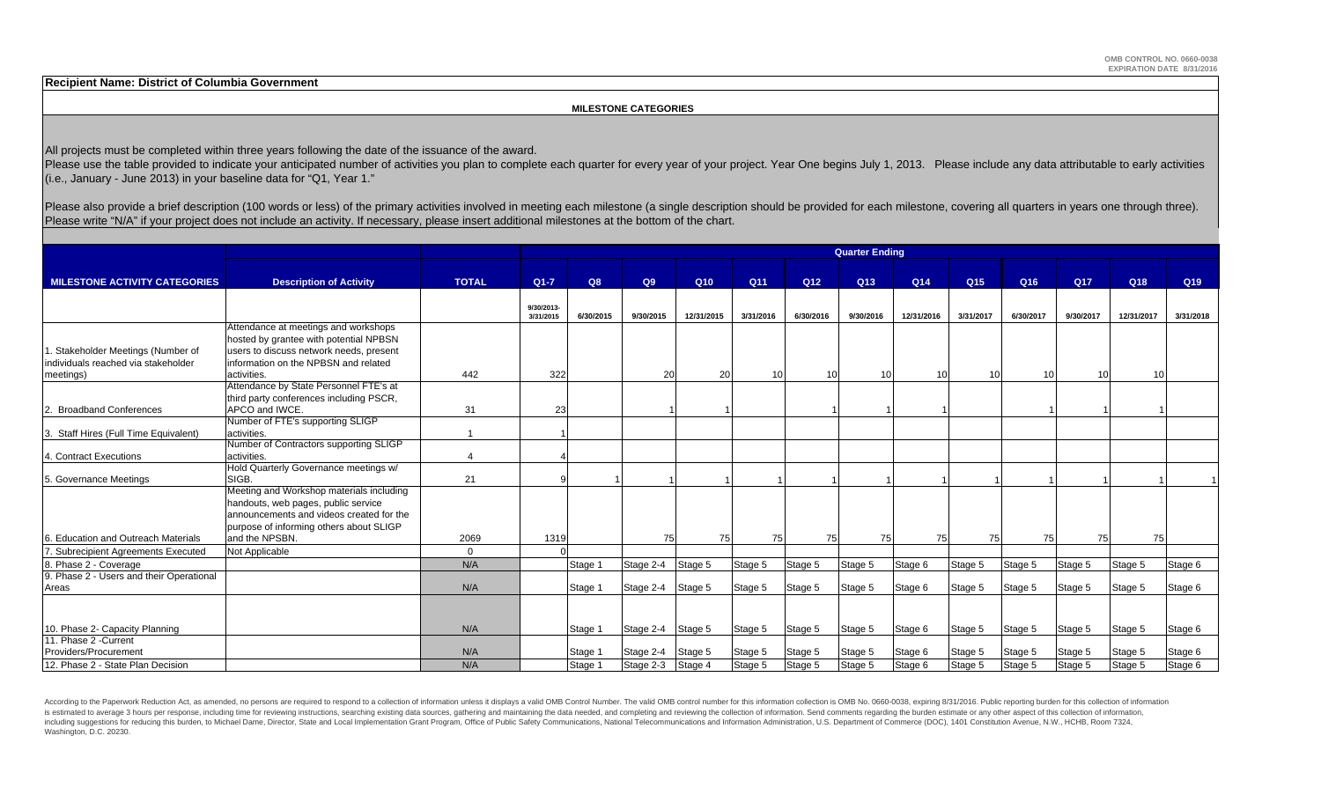**Recipient Name: District of Columbia Government**

### **MILESTONE CATEGORIES**

All projects must be completed within three years following the date of the issuance of the award.

Please use the table provided to indicate your anticipated number of activities you plan to complete each quarter for every year of your project. Year One begins July 1, 2013. Please include any data attributable to early (i.e., January - June 2013) in your baseline data for "Q1, Year 1."

Please also provide a brief description (100 words or less) of the primary activities involved in meeting each milestone (a single description should be provided for each milestone, covering all quarters in years one throu Please write "N/A" if your project does not include an activity. If necessary, please insert additional milestones at the bottom of the chart.

|                                       |                                          |              |            |           |           |            |                 |                 | <b>Quarter Ending</b> |                 |                 |           |           |            |           |
|---------------------------------------|------------------------------------------|--------------|------------|-----------|-----------|------------|-----------------|-----------------|-----------------------|-----------------|-----------------|-----------|-----------|------------|-----------|
|                                       |                                          |              |            |           |           |            |                 |                 |                       |                 |                 |           |           |            |           |
| <b>MILESTONE ACTIVITY CATEGORIES</b>  | <b>Description of Activity</b>           | <b>TOTAL</b> | $Q1 - 7$   | Q8        | Q9        | Q10        | Q <sub>11</sub> | Q <sub>12</sub> | Q13                   | Q <sub>14</sub> | Q <sub>15</sub> | Q16       | Q17       | Q18        | Q19       |
|                                       |                                          |              |            |           |           |            |                 |                 |                       |                 |                 |           |           |            |           |
|                                       |                                          |              | 9/30/2013- |           |           |            |                 |                 |                       |                 |                 |           |           |            |           |
|                                       | Attendance at meetings and workshops     |              | 3/31/2015  | 6/30/2015 | 9/30/2015 | 12/31/2015 | 3/31/2016       | 6/30/2016       | 9/30/2016             | 12/31/2016      | 3/31/2017       | 6/30/2017 | 9/30/2017 | 12/31/2017 | 3/31/2018 |
|                                       | hosted by grantee with potential NPBSN   |              |            |           |           |            |                 |                 |                       |                 |                 |           |           |            |           |
| . Stakeholder Meetings (Number of     | users to discuss network needs, present  |              |            |           |           |            |                 |                 |                       |                 |                 |           |           |            |           |
| individuals reached via stakeholder   | information on the NPBSN and related     |              |            |           |           |            |                 |                 |                       |                 |                 |           |           |            |           |
| meetings)                             | activities.                              | 442          | 322        |           | 20        | 20         | 10              | 10              | 10 <sup>1</sup>       | 10              | 10              | 10        | 10        | 10         |           |
|                                       | Attendance by State Personnel FTE's at   |              |            |           |           |            |                 |                 |                       |                 |                 |           |           |            |           |
|                                       | third party conferences including PSCR,  |              |            |           |           |            |                 |                 |                       |                 |                 |           |           |            |           |
| 2. Broadband Conferences              | APCO and IWCE.                           | 31           | 23         |           |           |            |                 |                 |                       |                 |                 |           |           |            |           |
|                                       | Number of FTE's supporting SLIGP         |              |            |           |           |            |                 |                 |                       |                 |                 |           |           |            |           |
| 3. Staff Hires (Full Time Equivalent) | activities.                              |              |            |           |           |            |                 |                 |                       |                 |                 |           |           |            |           |
|                                       | Number of Contractors supporting SLIGP   |              |            |           |           |            |                 |                 |                       |                 |                 |           |           |            |           |
| 4. Contract Executions                | activities.                              |              |            |           |           |            |                 |                 |                       |                 |                 |           |           |            |           |
|                                       | Hold Quarterly Governance meetings w/    |              |            |           |           |            |                 |                 |                       |                 |                 |           |           |            |           |
| 5. Governance Meetings                | SIGB.                                    | 21           |            |           |           |            |                 |                 |                       |                 |                 |           |           |            |           |
|                                       | Meeting and Workshop materials including |              |            |           |           |            |                 |                 |                       |                 |                 |           |           |            |           |
|                                       | handouts, web pages, public service      |              |            |           |           |            |                 |                 |                       |                 |                 |           |           |            |           |
|                                       | announcements and videos created for the |              |            |           |           |            |                 |                 |                       |                 |                 |           |           |            |           |
|                                       | purpose of informing others about SLIGP  |              |            |           |           |            |                 |                 |                       |                 |                 |           |           |            |           |
| . Education and Outreach Materials    | and the NPSBN.                           | 2069         | 1319       |           | 75        | 75         | 75              | 75              | 75                    | 75              | 75              | 75        | 75        | 75         |           |
| Subrecipient Agreements Executed      | Not Applicable                           | $\Omega$     |            |           |           |            |                 |                 |                       |                 |                 |           |           |            |           |
| Phase 2 - Coverage                    |                                          | N/A          |            | Stage 1   | Stage 2-4 | Stage 5    | Stage 5         | Stage 5         | Stage 5               | Stage 6         | Stage 5         | Stage 5   | Stage 5   | Stage 5    | Stage 6   |
| Phase 2 - Users and their Operational |                                          |              |            |           |           |            |                 |                 |                       |                 |                 |           |           |            |           |
| Areas                                 |                                          | N/A          |            | Stage 1   | Stage 2-4 | Stage 5    | Stage 5         | Stage 5         | Stage 5               | Stage 6         | Stage 5         | Stage 5   | Stage 5   | Stage 5    | Stage 6   |
|                                       |                                          |              |            |           |           |            |                 |                 |                       |                 |                 |           |           |            |           |
| 10. Phase 2- Capacity Planning        |                                          | N/A          |            | Stage 1   | Stage 2-4 | Stage 5    | Stage 5         | Stage 5         | Stage 5               | Stage 6         | Stage 5         | Stage 5   | Stage 5   | Stage 5    | Stage 6   |
| 11. Phase 2 - Current                 |                                          |              |            |           |           |            |                 |                 |                       |                 |                 |           |           |            |           |
| Providers/Procurement                 |                                          | N/A          |            | Stage 1   | Stage 2-4 | Stage 5    | Stage 5         | Stage 5         | Stage 5               | Stage 6         | Stage 5         | Stage 5   | Stage 5   | Stage 5    | Stage 6   |
| 12. Phase 2 - State Plan Decision     |                                          | N/A          |            | Stage 1   | Stage 2-3 | Stage 4    | Stage 5         | Stage 5         | Stage 5               | Stage 6         | Stage 5         | Stage 5   | Stage 5   | Stage 5    | Stage 6   |

According to the Paperwork Reduction Act, as amended, no persons are required to respond to a collection of information unless it displays a valid OMB Control Number. The valid OMB control number for this information colle is estimated to average 3 hours per response, including time for reviewing instructions, searching existing data sources, gathering and maintaining the data needed, and completing and reviewing the collection of informatio including suggestions for reducing this burden, to Michael Dame, Director, State and Local Implementation Grant Program, Office of Public Safety Communications, National Telecommunications and Information Administration, U Washington, D.C. 20230.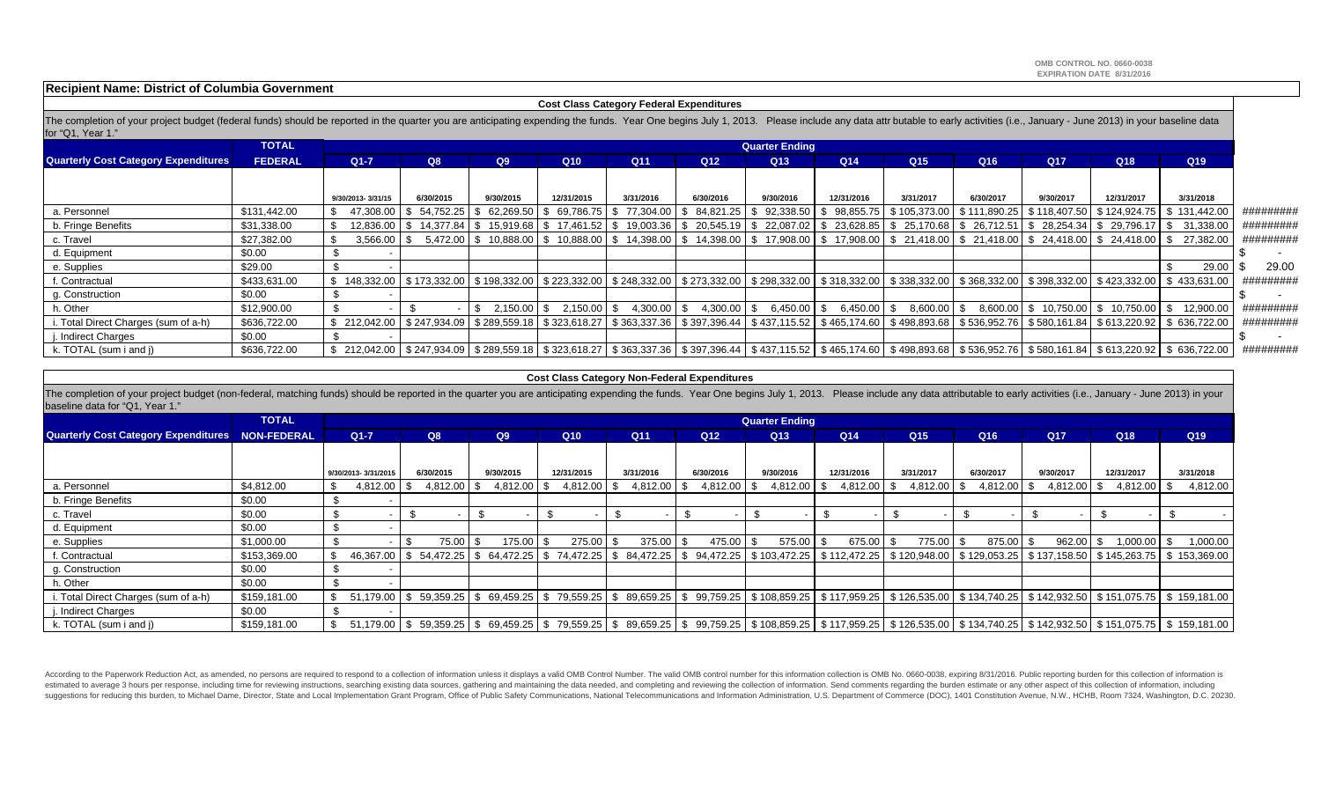**OMB CONTROL NO. 0660-0038 EXPIRATION DATE 8/31/2016**

**Recipient Name: District of Columbia Government**

### **Cost Class Category Federal Expenditures**

The completion of your project budget (federal funds) should be reported in the quarter you are anticipating expending the funds. Year One begins July 1, 2013. Please include any data attr butable to early activities (i.e. for "Q1, Year 1."

|                                             | <b>TOTAL</b>   |                                                                                                                                                                                          |                          |              |            |                 |                 | <b>Quarter Ending</b> |                                                     |                      |                             |                 |                           |                                                                                                                                                                                                               |           |
|---------------------------------------------|----------------|------------------------------------------------------------------------------------------------------------------------------------------------------------------------------------------|--------------------------|--------------|------------|-----------------|-----------------|-----------------------|-----------------------------------------------------|----------------------|-----------------------------|-----------------|---------------------------|---------------------------------------------------------------------------------------------------------------------------------------------------------------------------------------------------------------|-----------|
| <b>Quarterly Cost Category Expenditures</b> | <b>FEDERAL</b> | $Q1 - 7$                                                                                                                                                                                 | Q8                       | Q9           | Q10        | Q11             | Q <sub>12</sub> | Q <sub>13</sub>       | Q <sub>14</sub>                                     | Q <sub>15</sub>      | Q16                         | Q <sub>17</sub> | Q <sub>18</sub>           | Q <sub>19</sub>                                                                                                                                                                                               |           |
|                                             |                |                                                                                                                                                                                          |                          |              |            |                 |                 |                       |                                                     |                      |                             |                 |                           |                                                                                                                                                                                                               |           |
|                                             |                | 9/30/2013-3/31/15                                                                                                                                                                        | 6/30/2015                | 9/30/2015    | 12/31/2015 | 3/31/2016       | 6/30/2016       | 9/30/2016             | 12/31/2016                                          | 3/31/2017            | 6/30/2017                   | 9/30/2017       | 12/31/2017                | 3/31/2018                                                                                                                                                                                                     |           |
| a. Personnel                                | \$131,442.00   |                                                                                                                                                                                          | 47.308.00   \$ 54.752.25 | 62.269.50    | 69,786.75  | 77,304.00<br>S. |                 |                       | $\frac{1}{2}$ 84,821.25   \$92,338.50   \$98,855.75 |                      | \$105,373.00   \$111,890.25 |                 | \$118,407.50 \$124,924.75 | \$131,442.00                                                                                                                                                                                                  | ######### |
| b. Fringe Benefits                          | \$31,338.00    |                                                                                                                                                                                          | 12.836.00 S 14.377.84 S  |              |            |                 |                 |                       |                                                     |                      |                             |                 |                           | 15,919.68 \$17,461.52 \$19,003.36 \$20,545.19 \$22,087.02 \$23,628.85 \$25,170.68 \$26,712.51 \$28,254.34 \$29,796.17 \$31,338.00                                                                             | ######### |
| c. Travel                                   | \$27,382.00    | $3,566.00$ \$                                                                                                                                                                            |                          |              |            |                 |                 |                       |                                                     |                      |                             |                 |                           | 5.472.00 \$ 10.888.00 \$ 10.888.00 \$ 14.398.00 \$ 14.398.00 \$ 17.908.00 \$ 17.908.00 \$ 21.418.00 \$ 21.418.00 \$ 24.418.00 \$ 24.418.00 \$ 27.382.00                                                       | ######### |
| d. Equipment                                | \$0.00         |                                                                                                                                                                                          |                          |              |            |                 |                 |                       |                                                     |                      |                             |                 |                           |                                                                                                                                                                                                               |           |
| e. Supplies                                 | \$29.00        |                                                                                                                                                                                          |                          |              |            |                 |                 |                       |                                                     |                      |                             |                 |                           | 29.00                                                                                                                                                                                                         | 29.00     |
| f. Contractual                              | \$433,631.00   |                                                                                                                                                                                          |                          |              |            |                 |                 |                       |                                                     |                      |                             |                 |                           | \$ 148,332.00   \$ 173,332.00   \$ 198,332.00   \$ 223,332.00   \$ 248,332.00   \$ 273,332.00   \$ 298,332.00   \$ 318,332.00   \$ 338,332.00   \$ 368,332.00   \$ 398,332.00   \$ 423,332.00   \$ 433,631.00 | ######### |
| g. Construction                             | \$0.00         |                                                                                                                                                                                          |                          |              |            |                 |                 |                       |                                                     |                      |                             |                 |                           |                                                                                                                                                                                                               |           |
| า. Other                                    | \$12,900.00    |                                                                                                                                                                                          |                          | $2.150.00$ S | 2.150.00   | 4.300.00        | $4,300.00$ \ \$ | 6.450.00 \$           | 6.450.00                                            | $8.600.00$ S<br>- \$ |                             |                 |                           | 8,600.00   \$10,750.00   \$10,750.00   \$12,900.00                                                                                                                                                            | ######### |
| . Total Direct Charges (sum of a-h)         | \$636.722.00   | $$212,042.00 \mid $247,934.09 \mid $289,559.18 \mid $323,618.27$                                                                                                                         |                          |              |            |                 |                 |                       |                                                     |                      |                             |                 |                           | \$ 363,337.36   \$ 397,396.44   \$ 437,115.52   \$ 465,174.60   \$ 498,893.68   \$ 536,952.76   \$ 580,161.84   \$ 613,220.92   \$ 636,722.00                                                                 | ######### |
| . Indirect Charges                          | \$0.00         |                                                                                                                                                                                          |                          |              |            |                 |                 |                       |                                                     |                      |                             |                 |                           |                                                                                                                                                                                                               |           |
| k. TOTAL (sum i and j)                      | \$636,722.00   | \$ 212,042.00 \$ 247,934.09 \$ 289,559.18 \$ 323,618.27 \$ 363,337.36 \$ \$ 397,396.44 \$ 437,115.52 \$ 465,174.60 \$ 498,893.68 \$ 536,952.76 \$ 580,161.84 \$ 613,220.92 \$ 636,722.00 |                          |              |            |                 |                 |                       |                                                     |                      |                             |                 |                           |                                                                                                                                                                                                               | ######### |

#### **Cost Class Category Non-Federal Expenditures**

The completion of your project budget (non-federal, matching funds) should be reported in the quarter you are anticipating expending the funds. Year One begins July 1, 2013. Please include any data attributable to early ac baseline data for "Q1, Year 1."

|                                                         | <b>TOTAL</b> |                     |              |           |          |                                                                       |                 |                 | <b>Quarter Ending</b> |                                                                                                                                                                                                                                |      |                 |                 |                 |            |           |
|---------------------------------------------------------|--------------|---------------------|--------------|-----------|----------|-----------------------------------------------------------------------|-----------------|-----------------|-----------------------|--------------------------------------------------------------------------------------------------------------------------------------------------------------------------------------------------------------------------------|------|-----------------|-----------------|-----------------|------------|-----------|
| <b>Quarterly Cost Category Expenditures NON-FEDERAL</b> |              | $Q1 - 7$            | Q8           | Q9        |          | Q10                                                                   | Q <sub>11</sub> | Q <sub>12</sub> | Q <sub>13</sub>       | Q <sub>14</sub>                                                                                                                                                                                                                |      | Q <sub>15</sub> | Q <sub>16</sub> | Q <sub>17</sub> | Q18        | Q19       |
|                                                         |              |                     |              |           |          |                                                                       |                 |                 |                       |                                                                                                                                                                                                                                |      |                 |                 |                 |            |           |
|                                                         |              | 9/30/2013-3/31/2015 | 6/30/2015    | 9/30/2015 |          | 12/31/2015                                                            | 3/31/2016       | 6/30/2016       | 9/30/2016             | 12/31/2016                                                                                                                                                                                                                     |      | 3/31/2017       | 6/30/2017       | 9/30/2017       | 12/31/2017 | 3/31/2018 |
| a. Personnel                                            | \$4,812.00   | 4,812.00            | $4.812.00$ S |           | 4,812.00 | 4,812.00                                                              | 4,812.00        | 4,812.00        | $4,812.00$ \ \$       | $4,812.00$ \ \$                                                                                                                                                                                                                |      | 4,812.00        | 4,812.00        | 4,812.00        | 4,812.00   | 4,812.00  |
| b. Fringe Benefits                                      | \$0.00       |                     |              |           |          |                                                                       |                 |                 |                       |                                                                                                                                                                                                                                |      |                 |                 |                 |            |           |
| c. Travel                                               | \$0.00       |                     |              |           |          |                                                                       |                 |                 |                       |                                                                                                                                                                                                                                |      |                 |                 |                 |            |           |
| d. Equipment                                            | \$0.00       |                     |              |           |          |                                                                       |                 |                 |                       |                                                                                                                                                                                                                                |      |                 |                 |                 |            |           |
| e. Supplies                                             | \$1,000.00   |                     | 75.00 \$     |           | 175.00   | 275.00                                                                | 375.00          | 475.00          | 575.00                | 675.00                                                                                                                                                                                                                         | l \$ | 775.00          | 875.00          | 962.00          | 1,000.00   | 1,000.00  |
| f. Contractual                                          | \$153,369.00 |                     |              |           |          | 46,367.00   \$ 54,472.25   \$ 64,472.25   \$ 74,472.25   \$ 84,472.25 |                 |                 |                       | 94.472.25   \$ 103.472.25   \$ 112.472.25   \$ 120.948.00   \$ 129.053.25   \$ 137.158.50   \$ 145.263.75   \$ 153.369.00                                                                                                      |      |                 |                 |                 |            |           |
| g. Construction                                         | \$0.00       |                     |              |           |          |                                                                       |                 |                 |                       |                                                                                                                                                                                                                                |      |                 |                 |                 |            |           |
| h. Other                                                | \$0.00       |                     |              |           |          |                                                                       |                 |                 |                       |                                                                                                                                                                                                                                |      |                 |                 |                 |            |           |
| i. Total Direct Charges (sum of a-h)                    | \$159,181.00 | \$                  |              |           |          |                                                                       |                 |                 |                       | $51,179.00$   \$ $59,359.25$   \$ $69,459.25$   \$ $79,559.25$   \$ $89,659.25$   \$ $99,759.25$   \$ $108,859.25$   \$ $117,959.25$   \$ $126,535.00$   \$ $134,740.25$   \$ $142,932.50$   \$ $151,075.75$   \$ $159,181.00$ |      |                 |                 |                 |            |           |
| j. Indirect Charges                                     | \$0.00       |                     |              |           |          |                                                                       |                 |                 |                       |                                                                                                                                                                                                                                |      |                 |                 |                 |            |           |
| k. TOTAL (sum i and j)                                  | \$159,181.00 | \$                  |              |           |          |                                                                       |                 |                 |                       | $51,179.00$ \$ $59,359.25$ \$ 69,459.25 \$ 79,559.25 \$ 89,659.25 \$ 99,759.25 \$ 108,859.25 \$ 117,959.25 \$ 126,535.00 \$ 134,740.25 \$ 142,932.50 \$ 151,075.75 \$ 159,181.00                                               |      |                 |                 |                 |            |           |

According to the Paperwork Reduction Act, as amended, no persons are required to respond to a collection of information unless it displays a valid OMB Control Number. The valid OMB control number for this information colle estimated to average 3 hours per response, including time for reviewing instructions, searching existing data sources, gathering and maintaining the data needed, and completing and reviewing the collection of information. suggestions for reducing this burden, to Michael Dame, Director, State and Local Implementation Grant Program, Office of Public Safety Communications, National Telecommunications and Information Administration, U.S. Depart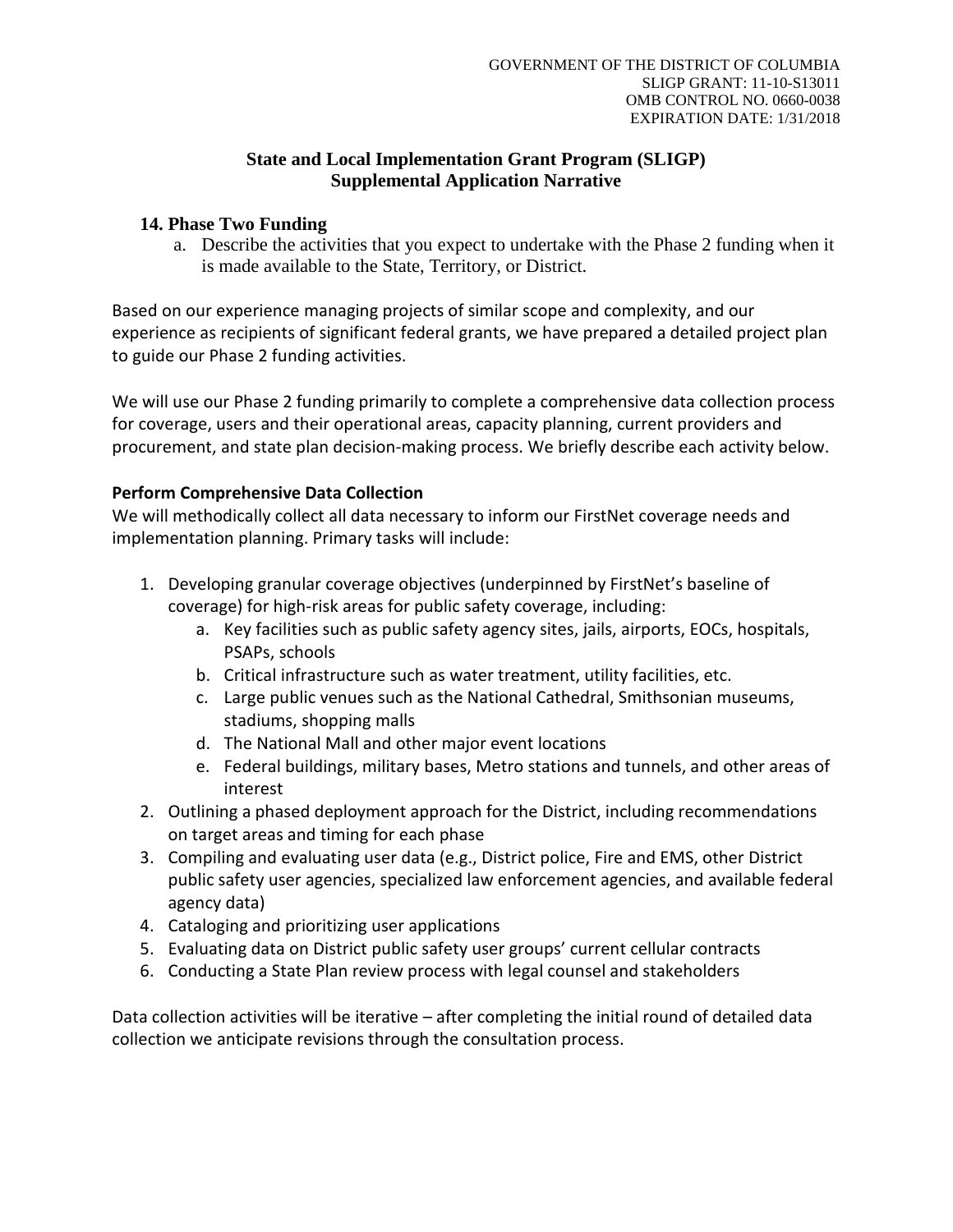## **State and Local Implementation Grant Program (SLIGP) Supplemental Application Narrative**

## **14. Phase Two Funding**

a. Describe the activities that you expect to undertake with the Phase 2 funding when it is made available to the State, Territory, or District.

Based on our experience managing projects of similar scope and complexity, and our experience as recipients of significant federal grants, we have prepared a detailed project plan to guide our Phase 2 funding activities.

We will use our Phase 2 funding primarily to complete a comprehensive data collection process for coverage, users and their operational areas, capacity planning, current providers and procurement, and state plan decision-making process. We briefly describe each activity below.

## **Perform Comprehensive Data Collection**

We will methodically collect all data necessary to inform our FirstNet coverage needs and implementation planning. Primary tasks will include:

- 1. Developing granular coverage objectives (underpinned by FirstNet's baseline of coverage) for high-risk areas for public safety coverage, including:
	- a. Key facilities such as public safety agency sites, jails, airports, EOCs, hospitals, PSAPs, schools
	- b. Critical infrastructure such as water treatment, utility facilities, etc.
	- c. Large public venues such as the National Cathedral, Smithsonian museums, stadiums, shopping malls
	- d. The National Mall and other major event locations
	- e. Federal buildings, military bases, Metro stations and tunnels, and other areas of interest
- 2. Outlining a phased deployment approach for the District, including recommendations on target areas and timing for each phase
- 3. Compiling and evaluating user data (e.g., District police, Fire and EMS, other District public safety user agencies, specialized law enforcement agencies, and available federal agency data)
- 4. Cataloging and prioritizing user applications
- 5. Evaluating data on District public safety user groups' current cellular contracts
- 6. Conducting a State Plan review process with legal counsel and stakeholders

Data collection activities will be iterative – after completing the initial round of detailed data collection we anticipate revisions through the consultation process.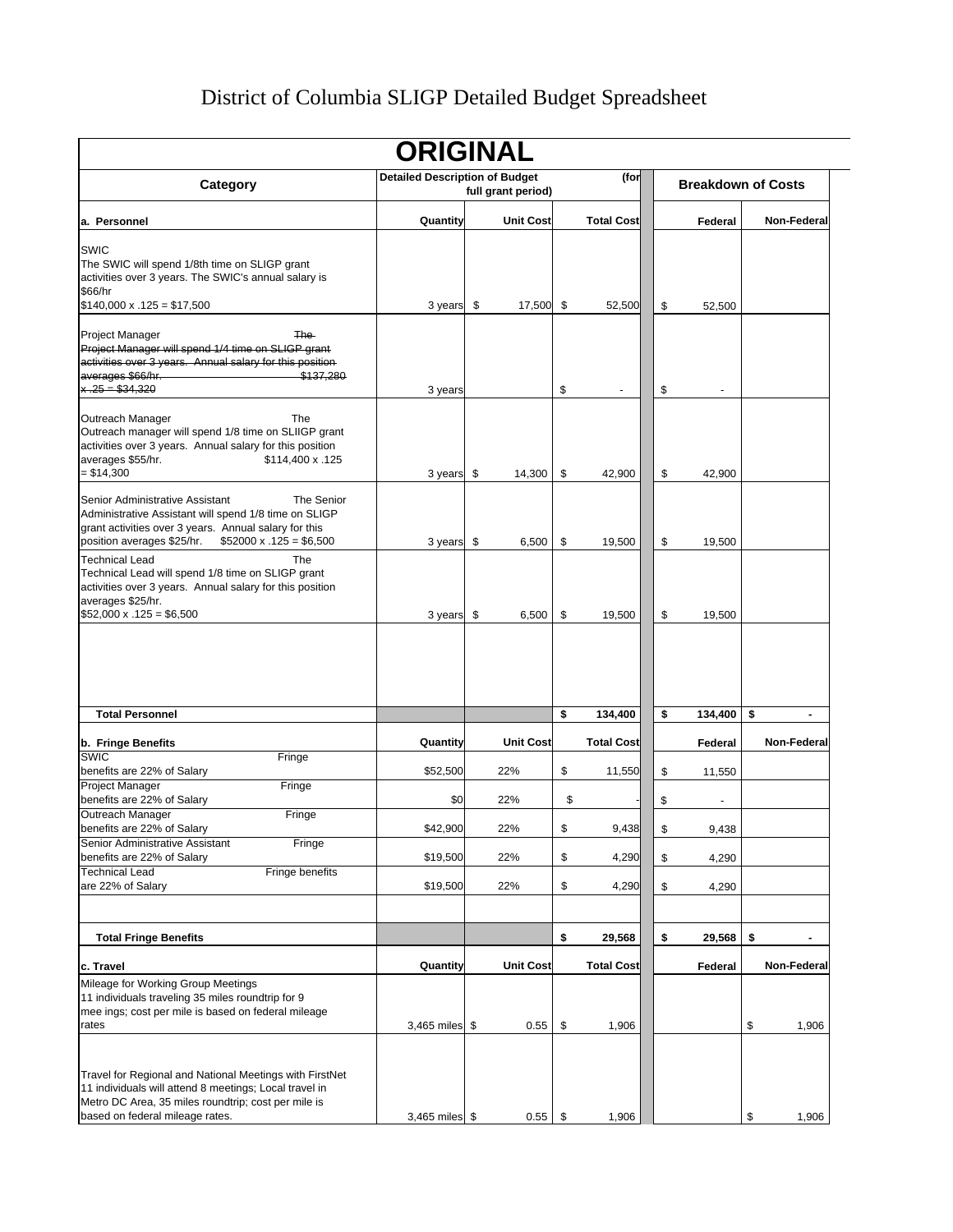# District of Columbia SLIGP Detailed Budget Spreadsheet

|                                                                                                                                                                                                                                | <b>ORIGINAL</b>                       |                    |                   |               |                           |
|--------------------------------------------------------------------------------------------------------------------------------------------------------------------------------------------------------------------------------|---------------------------------------|--------------------|-------------------|---------------|---------------------------|
| Category                                                                                                                                                                                                                       | <b>Detailed Description of Budget</b> | full grant period) | (for              |               | <b>Breakdown of Costs</b> |
| a. Personnel                                                                                                                                                                                                                   | Quantity                              | <b>Unit Cost</b>   | <b>Total Cost</b> | Federal       | Non-Federal               |
| <b>SWIC</b><br>The SWIC will spend 1/8th time on SLIGP grant<br>activities over 3 years. The SWIC's annual salary is<br>\$66/hr                                                                                                |                                       |                    |                   |               |                           |
| $$140,000 \times .125 = $17,500$                                                                                                                                                                                               | 3 years                               | \$<br>17,500       | \$<br>52,500      | \$<br>52,500  |                           |
| Project Manager<br>The-<br>Project Manager will spend 1/4 time on SLIGP grant<br>activities over 3 years. Annual salary for this position<br>averages \$66/hr.<br>\$137,280<br>$x - 25 = $34,320$                              | 3 years                               |                    | \$                | \$            |                           |
| Outreach Manager<br>The<br>Outreach manager will spend 1/8 time on SLIIGP grant<br>activities over 3 years. Annual salary for this position<br>averages \$55/hr.<br>\$114,400 x .125<br>$= $14,300$                            | 3 years                               | \$<br>14,300       | \$<br>42,900      | \$<br>42,900  |                           |
| Senior Administrative Assistant<br>The Senior<br>Administrative Assistant will spend 1/8 time on SLIGP<br>grant activities over 3 years. Annual salary for this<br>position averages \$25/hr.<br>$$52000 \times .125 = $6,500$ | 3 years                               | \$<br>6,500        | \$<br>19,500      | \$<br>19,500  |                           |
| The<br><b>Technical Lead</b><br>Technical Lead will spend 1/8 time on SLIGP grant<br>activities over 3 years. Annual salary for this position<br>averages \$25/hr.<br>$$52,000 \times .125 = $6,500$                           | 3 years                               | \$<br>6,500        | \$<br>19,500      | \$<br>19,500  |                           |
| <b>Total Personnel</b>                                                                                                                                                                                                         |                                       |                    | \$<br>134,400     | \$<br>134,400 | \$<br>$\blacksquare$      |
|                                                                                                                                                                                                                                |                                       |                    |                   |               |                           |
| b. Fringe Benefits<br><b>SWIC</b><br>Fringe                                                                                                                                                                                    | Quantity                              | <b>Unit Cost</b>   | <b>Total Cost</b> | Federal       | Non-Federal               |
| benefits are 22% of Salary<br>Project Manager<br>Fringe                                                                                                                                                                        | \$52,500                              | 22%                | \$<br>11,550      | \$<br>11,550  |                           |
| benefits are 22% of Salary                                                                                                                                                                                                     | \$0                                   | 22%                | \$                | \$            |                           |
| Outreach Manager<br>Fringe<br>benefits are 22% of Salary                                                                                                                                                                       | \$42,900                              | 22%                | \$<br>9,438       | \$<br>9,438   |                           |
| Fringe<br>Senior Administrative Assistant<br>benefits are 22% of Salary                                                                                                                                                        | \$19,500                              | 22%                | \$<br>4,290       | \$<br>4,290   |                           |
| <b>Technical Lead</b><br>Fringe benefits<br>are 22% of Salary                                                                                                                                                                  | \$19,500                              | 22%                | \$<br>4,290       | \$<br>4,290   |                           |
|                                                                                                                                                                                                                                |                                       |                    |                   |               |                           |
| <b>Total Fringe Benefits</b>                                                                                                                                                                                                   |                                       |                    | \$<br>29,568      | \$<br>29,568  | \$                        |
| c. Travel                                                                                                                                                                                                                      | Quantity                              | <b>Unit Cost</b>   | <b>Total Cost</b> | Federal       | Non-Federal               |
| Mileage for Working Group Meetings<br>11 individuals traveling 35 miles roundtrip for 9<br>mee ings; cost per mile is based on federal mileage                                                                                 |                                       |                    |                   |               |                           |
| rates                                                                                                                                                                                                                          | 3,465 miles \$                        | 0.55               | \$<br>1,906       |               | \$<br>1,906               |
| Travel for Regional and National Meetings with FirstNet<br>11 individuals will attend 8 meetings; Local travel in<br>Metro DC Area, 35 miles roundtrip; cost per mile is                                                       |                                       |                    |                   |               |                           |
| based on federal mileage rates.                                                                                                                                                                                                | 3,465 miles \$                        | 0.55               | \$<br>1,906       |               | \$<br>1,906               |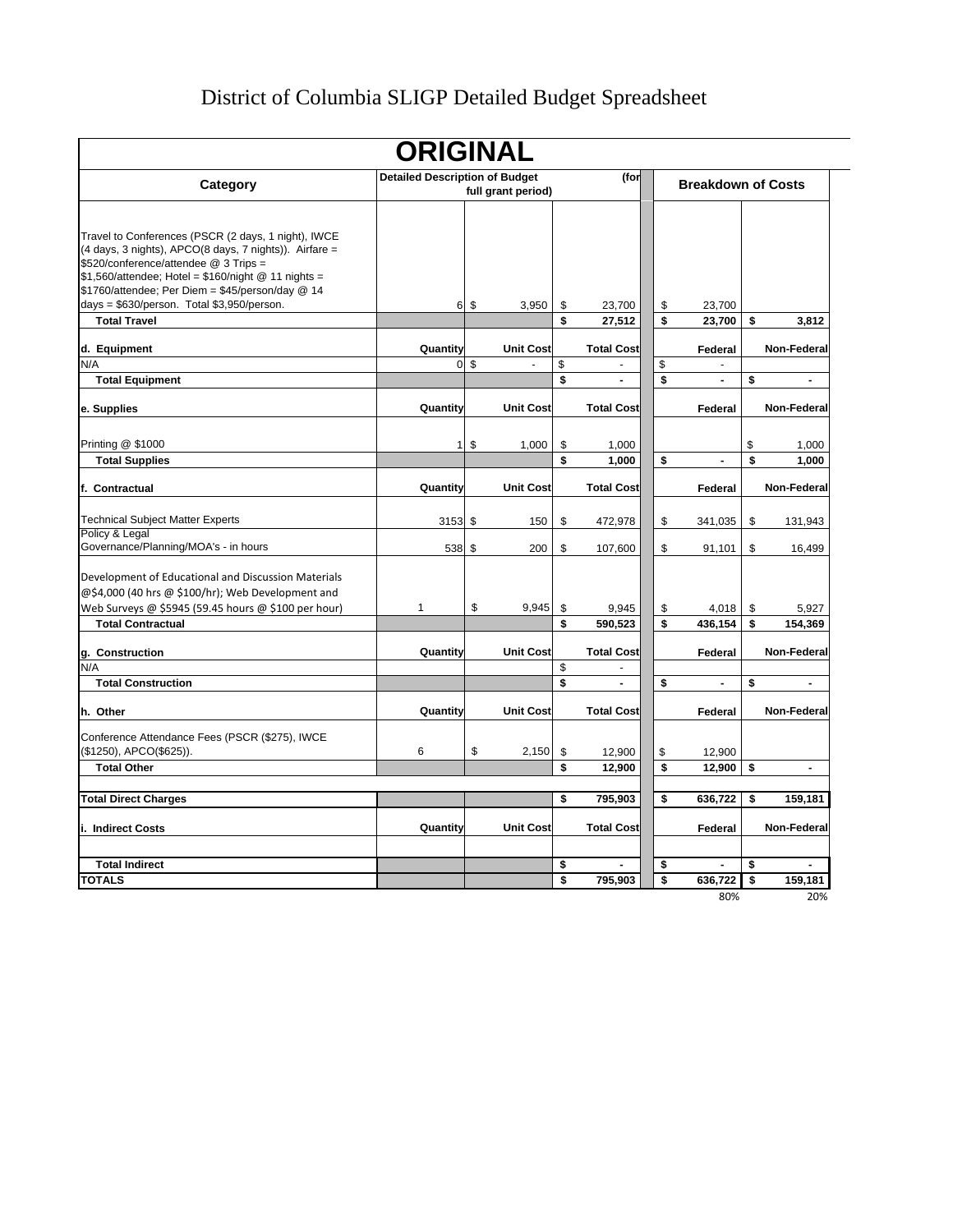# District of Columbia SLIGP Detailed Budget Spreadsheet

|                                                                                                                                                                                                                                                                                                                     | <b>ORIGINAL</b>                       |                 |                    |          |                   |          |                           |                                    |
|---------------------------------------------------------------------------------------------------------------------------------------------------------------------------------------------------------------------------------------------------------------------------------------------------------------------|---------------------------------------|-----------------|--------------------|----------|-------------------|----------|---------------------------|------------------------------------|
| Category                                                                                                                                                                                                                                                                                                            | <b>Detailed Description of Budget</b> |                 | full grant period) |          | (for              |          | <b>Breakdown of Costs</b> |                                    |
|                                                                                                                                                                                                                                                                                                                     |                                       |                 |                    |          |                   |          |                           |                                    |
| Travel to Conferences (PSCR (2 days, 1 night), IWCE<br>(4 days, 3 nights), APCO(8 days, 7 nights)). Airfare =<br>\$520/conference/attendee @ 3 Trips =<br>$$1,560/$ attendee; Hotel = $$160/$ night @ 11 nights =<br>\$1760/attendee; Per Diem = \$45/person/day @ 14<br>days = \$630/person. Total \$3,950/person. |                                       | 6 \$            | 3,950              | \$       | 23,700            | \$       | 23,700                    |                                    |
| <b>Total Travel</b>                                                                                                                                                                                                                                                                                                 |                                       |                 |                    | \$       | 27,512            | \$       | 23,700                    | \$<br>3.812                        |
| d. Equipment                                                                                                                                                                                                                                                                                                        | Quantity                              |                 | <b>Unit Cost</b>   |          | <b>Total Cost</b> |          | Federal                   | Non-Federal                        |
| N/A                                                                                                                                                                                                                                                                                                                 |                                       | 0 <sup>5</sup>  |                    | \$       |                   | \$       |                           |                                    |
| <b>Total Equipment</b>                                                                                                                                                                                                                                                                                              |                                       |                 |                    | \$       | L.                | \$       | $\overline{a}$            | \$<br>$\overline{a}$               |
| e. Supplies                                                                                                                                                                                                                                                                                                         | Quantity                              |                 | <b>Unit Cost</b>   |          | <b>Total Cost</b> |          | Federal                   | Non-Federal                        |
| Printing @ \$1000                                                                                                                                                                                                                                                                                                   |                                       | $1 \text{ }$ \$ | 1,000              | \$       | 1,000             |          |                           | \$<br>1,000                        |
| <b>Total Supplies</b>                                                                                                                                                                                                                                                                                               |                                       |                 |                    | \$       | 1.000             | \$       |                           | \$<br>1.000                        |
| f. Contractual                                                                                                                                                                                                                                                                                                      | Quantity                              |                 | <b>Unit Cost</b>   |          | <b>Total Cost</b> |          | Federal                   | Non-Federal                        |
| <b>Technical Subject Matter Experts</b>                                                                                                                                                                                                                                                                             | $3153$ \$                             |                 | 150                | \$       | 472,978           | \$       | 341,035                   | \$<br>131,943                      |
| Policy & Legal<br>Governance/Planning/MOA's - in hours                                                                                                                                                                                                                                                              | 538 \$                                |                 | 200                | \$       | 107,600           | \$       | 91,101                    | \$<br>16,499                       |
| Development of Educational and Discussion Materials<br>@\$4,000 (40 hrs @ \$100/hr); Web Development and                                                                                                                                                                                                            |                                       |                 |                    |          |                   |          |                           |                                    |
| Web Surveys @ \$5945 (59.45 hours @ \$100 per hour)                                                                                                                                                                                                                                                                 | 1                                     | \$              | 9,945              | \$<br>\$ | 9,945             | \$<br>\$ | 4,018                     | \$<br>5,927                        |
| <b>Total Contractual</b>                                                                                                                                                                                                                                                                                            |                                       |                 |                    |          | 590,523           |          | 436,154                   | \$<br>154,369                      |
| g. Construction                                                                                                                                                                                                                                                                                                     | Quantity                              |                 | <b>Unit Cost</b>   |          | <b>Total Cost</b> |          | Federal                   | Non-Federal                        |
| N/A                                                                                                                                                                                                                                                                                                                 |                                       |                 |                    | \$       |                   |          |                           |                                    |
| <b>Total Construction</b>                                                                                                                                                                                                                                                                                           |                                       |                 |                    | \$       |                   | \$       |                           | \$<br>$\qquad \qquad \blacksquare$ |
| h. Other                                                                                                                                                                                                                                                                                                            | Quantity                              |                 | <b>Unit Cost</b>   |          | <b>Total Cost</b> |          | Federal                   | Non-Federal                        |
| Conference Attendance Fees (PSCR (\$275), IWCE<br>(\$1250), APCO(\$625)).                                                                                                                                                                                                                                           | 6                                     | \$              | 2,150              | \$       | 12,900            | \$       | 12,900                    |                                    |
| <b>Total Other</b>                                                                                                                                                                                                                                                                                                  |                                       |                 |                    | \$       | 12.900            | \$       | 12.900                    | \$<br>$\blacksquare$               |
|                                                                                                                                                                                                                                                                                                                     |                                       |                 |                    |          |                   |          |                           |                                    |
| <b>Total Direct Charges</b>                                                                                                                                                                                                                                                                                         |                                       |                 |                    | \$       | 795,903           | \$       | 636,722                   | \$<br>159,181                      |
| i. Indirect Costs                                                                                                                                                                                                                                                                                                   | Quantity                              |                 | <b>Unit Cost</b>   |          | <b>Total Cost</b> |          | Federal                   | Non-Federal                        |
| <b>Total Indirect</b>                                                                                                                                                                                                                                                                                               |                                       |                 |                    |          |                   | \$       |                           | \$                                 |
| <b>TOTALS</b>                                                                                                                                                                                                                                                                                                       |                                       |                 |                    | \$<br>s  | 795,903           | \$       | 636,722                   | \$<br>159,181                      |
|                                                                                                                                                                                                                                                                                                                     |                                       |                 |                    |          |                   |          | 80%                       | 20%                                |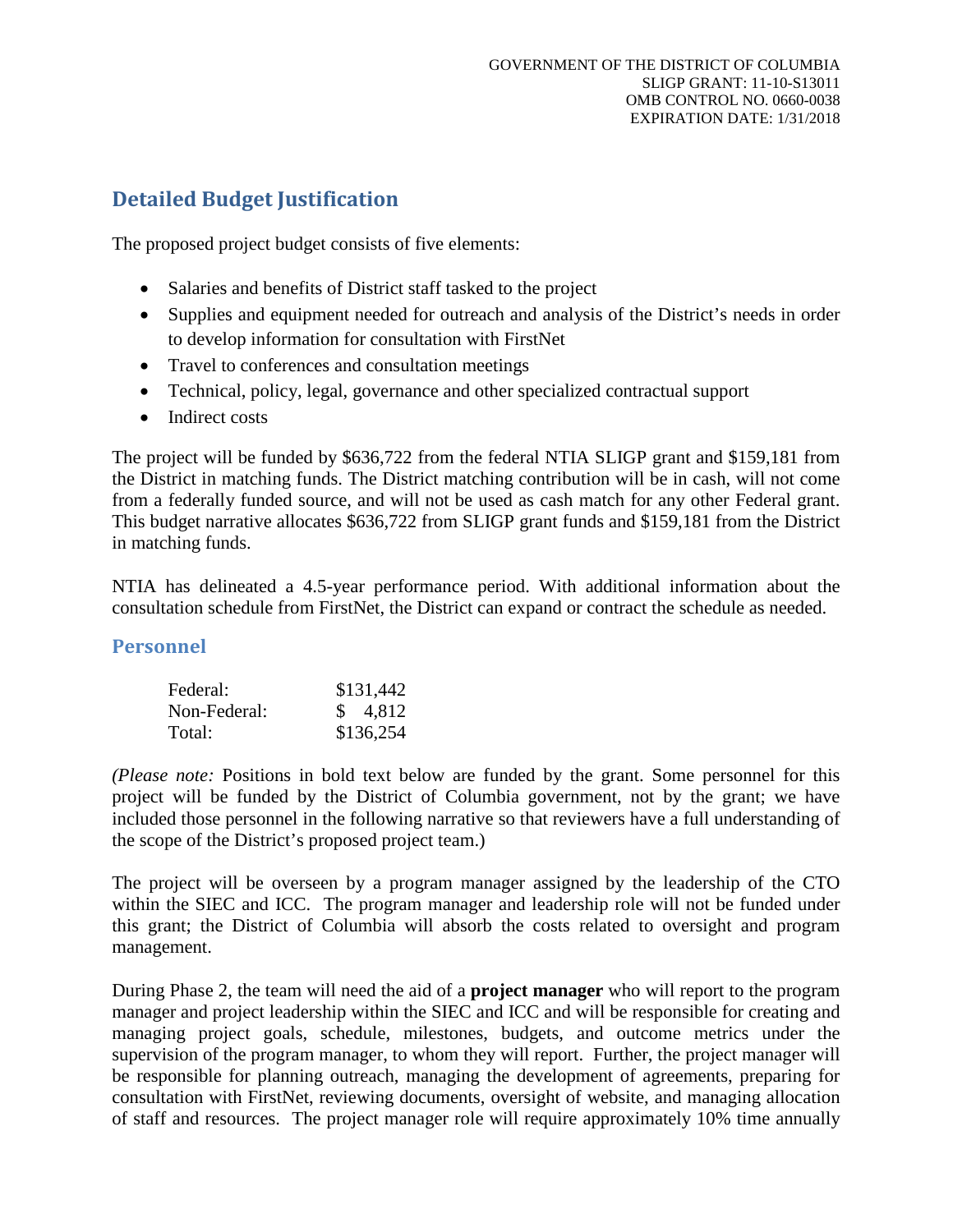## **Detailed Budget Justification**

The proposed project budget consists of five elements:

- Salaries and benefits of District staff tasked to the project
- Supplies and equipment needed for outreach and analysis of the District's needs in order to develop information for consultation with FirstNet
- Travel to conferences and consultation meetings
- Technical, policy, legal, governance and other specialized contractual support
- Indirect costs

The project will be funded by \$636,722 from the federal NTIA SLIGP grant and \$159,181 from the District in matching funds. The District matching contribution will be in cash, will not come from a federally funded source, and will not be used as cash match for any other Federal grant. This budget narrative allocates \$636,722 from SLIGP grant funds and \$159,181 from the District in matching funds.

NTIA has delineated a 4.5-year performance period. With additional information about the consultation schedule from FirstNet, the District can expand or contract the schedule as needed.

## **Personnel**

| Federal:     | \$131,442 |
|--------------|-----------|
| Non-Federal: | \$ 4,812  |
| Total:       | \$136,254 |

*(Please note:* Positions in bold text below are funded by the grant. Some personnel for this project will be funded by the District of Columbia government, not by the grant; we have included those personnel in the following narrative so that reviewers have a full understanding of the scope of the District's proposed project team.)

The project will be overseen by a program manager assigned by the leadership of the CTO within the SIEC and ICC. The program manager and leadership role will not be funded under this grant; the District of Columbia will absorb the costs related to oversight and program management.

During Phase 2, the team will need the aid of a **project manager** who will report to the program manager and project leadership within the SIEC and ICC and will be responsible for creating and managing project goals, schedule, milestones, budgets, and outcome metrics under the supervision of the program manager, to whom they will report. Further, the project manager will be responsible for planning outreach, managing the development of agreements, preparing for consultation with FirstNet, reviewing documents, oversight of website, and managing allocation of staff and resources. The project manager role will require approximately 10% time annually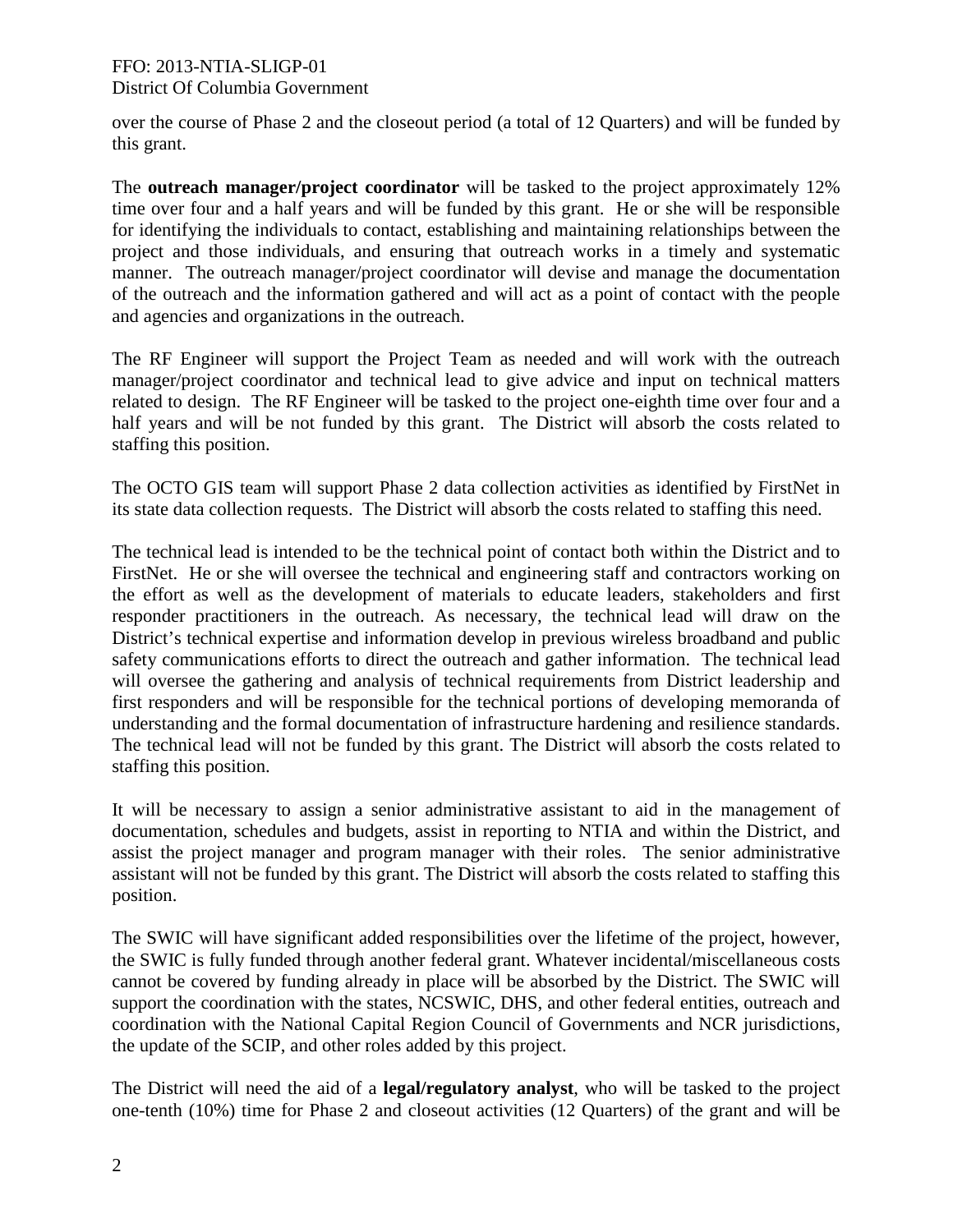### FFO: 2013-NTIA-SLIGP-01 District Of Columbia Government

over the course of Phase 2 and the closeout period (a total of 12 Quarters) and will be funded by this grant.

The **outreach manager/project coordinator** will be tasked to the project approximately 12% time over four and a half years and will be funded by this grant. He or she will be responsible for identifying the individuals to contact, establishing and maintaining relationships between the project and those individuals, and ensuring that outreach works in a timely and systematic manner. The outreach manager/project coordinator will devise and manage the documentation of the outreach and the information gathered and will act as a point of contact with the people and agencies and organizations in the outreach.

The RF Engineer will support the Project Team as needed and will work with the outreach manager/project coordinator and technical lead to give advice and input on technical matters related to design. The RF Engineer will be tasked to the project one-eighth time over four and a half years and will be not funded by this grant. The District will absorb the costs related to staffing this position.

The OCTO GIS team will support Phase 2 data collection activities as identified by FirstNet in its state data collection requests. The District will absorb the costs related to staffing this need.

The technical lead is intended to be the technical point of contact both within the District and to FirstNet. He or she will oversee the technical and engineering staff and contractors working on the effort as well as the development of materials to educate leaders, stakeholders and first responder practitioners in the outreach. As necessary, the technical lead will draw on the District's technical expertise and information develop in previous wireless broadband and public safety communications efforts to direct the outreach and gather information. The technical lead will oversee the gathering and analysis of technical requirements from District leadership and first responders and will be responsible for the technical portions of developing memoranda of understanding and the formal documentation of infrastructure hardening and resilience standards. The technical lead will not be funded by this grant. The District will absorb the costs related to staffing this position.

It will be necessary to assign a senior administrative assistant to aid in the management of documentation, schedules and budgets, assist in reporting to NTIA and within the District, and assist the project manager and program manager with their roles. The senior administrative assistant will not be funded by this grant. The District will absorb the costs related to staffing this position.

The SWIC will have significant added responsibilities over the lifetime of the project, however, the SWIC is fully funded through another federal grant. Whatever incidental/miscellaneous costs cannot be covered by funding already in place will be absorbed by the District. The SWIC will support the coordination with the states, NCSWIC, DHS, and other federal entities, outreach and coordination with the National Capital Region Council of Governments and NCR jurisdictions, the update of the SCIP, and other roles added by this project.

The District will need the aid of a **legal/regulatory analyst**, who will be tasked to the project one-tenth (10%) time for Phase 2 and closeout activities (12 Quarters) of the grant and will be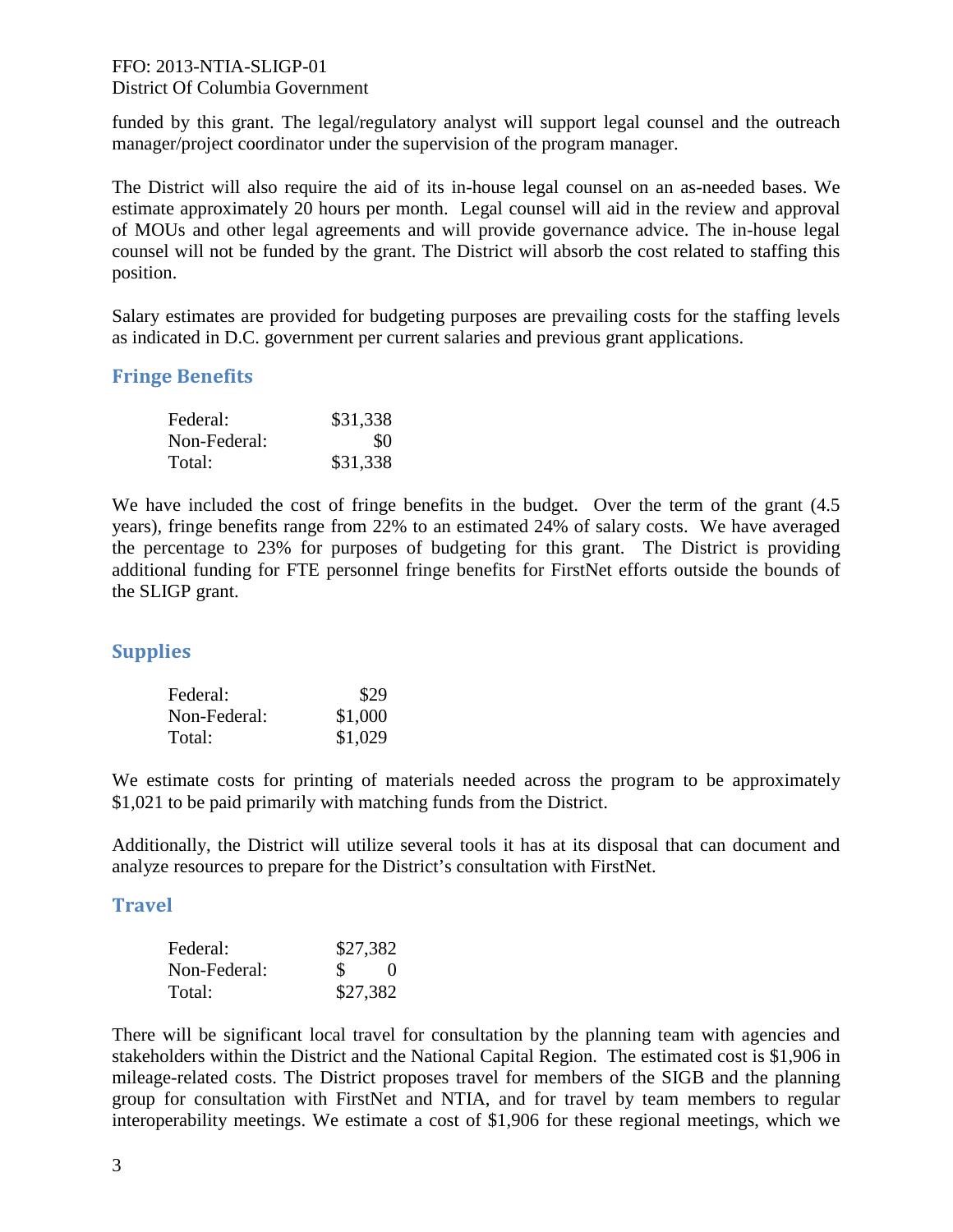## FFO: 2013-NTIA-SLIGP-01

### District Of Columbia Government

funded by this grant. The legal/regulatory analyst will support legal counsel and the outreach manager/project coordinator under the supervision of the program manager.

The District will also require the aid of its in-house legal counsel on an as-needed bases. We estimate approximately 20 hours per month. Legal counsel will aid in the review and approval of MOUs and other legal agreements and will provide governance advice. The in-house legal counsel will not be funded by the grant. The District will absorb the cost related to staffing this position.

Salary estimates are provided for budgeting purposes are prevailing costs for the staffing levels as indicated in D.C. government per current salaries and previous grant applications.

## **Fringe Benefits**

| Federal:     | \$31,338 |
|--------------|----------|
| Non-Federal: | \$0      |
| Total:       | \$31,338 |

We have included the cost of fringe benefits in the budget. Over the term of the grant  $(4.5)$ years), fringe benefits range from 22% to an estimated 24% of salary costs. We have averaged the percentage to 23% for purposes of budgeting for this grant. The District is providing additional funding for FTE personnel fringe benefits for FirstNet efforts outside the bounds of the SLIGP grant.

## **Supplies**

| Federal:     | \$29    |
|--------------|---------|
| Non-Federal: | \$1,000 |
| Total:       | \$1,029 |

We estimate costs for printing of materials needed across the program to be approximately \$1,021 to be paid primarily with matching funds from the District.

Additionally, the District will utilize several tools it has at its disposal that can document and analyze resources to prepare for the District's consultation with FirstNet.

## **Travel**

| Federal:     | \$27,382      |                  |
|--------------|---------------|------------------|
| Non-Federal: | <sup>\$</sup> | $\left( \right)$ |
| Total:       | \$27,382      |                  |

There will be significant local travel for consultation by the planning team with agencies and stakeholders within the District and the National Capital Region. The estimated cost is \$1,906 in mileage-related costs. The District proposes travel for members of the SIGB and the planning group for consultation with FirstNet and NTIA, and for travel by team members to regular interoperability meetings. We estimate a cost of \$1,906 for these regional meetings, which we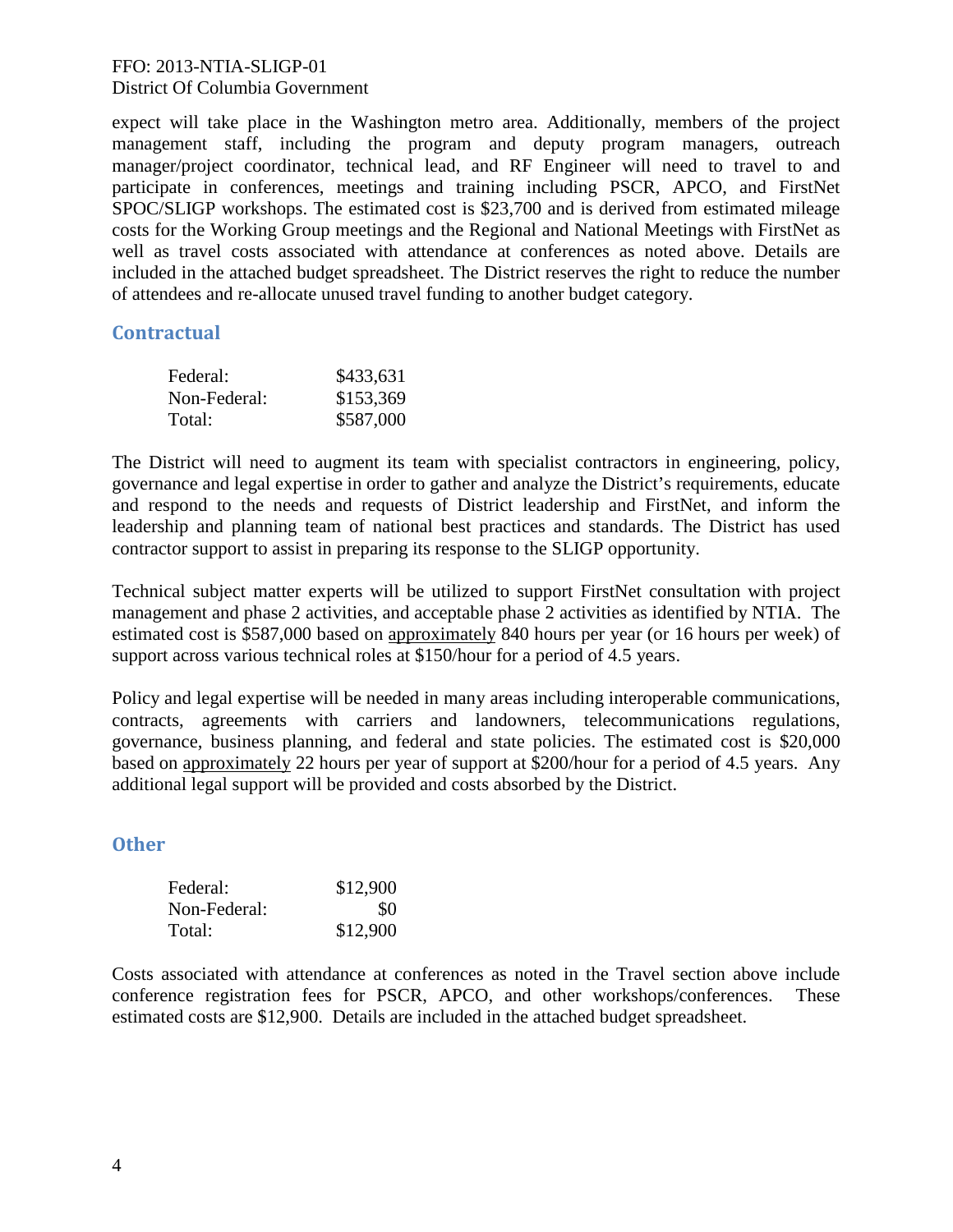### FFO: 2013-NTIA-SLIGP-01 District Of Columbia Government

expect will take place in the Washington metro area. Additionally, members of the project management staff, including the program and deputy program managers, outreach manager/project coordinator, technical lead, and RF Engineer will need to travel to and participate in conferences, meetings and training including PSCR, APCO, and FirstNet SPOC/SLIGP workshops. The estimated cost is \$23,700 and is derived from estimated mileage costs for the Working Group meetings and the Regional and National Meetings with FirstNet as well as travel costs associated with attendance at conferences as noted above. Details are included in the attached budget spreadsheet. The District reserves the right to reduce the number of attendees and re-allocate unused travel funding to another budget category.

## **Contractual**

| Federal:     | \$433,631 |
|--------------|-----------|
| Non-Federal: | \$153,369 |
| Total:       | \$587,000 |

The District will need to augment its team with specialist contractors in engineering, policy, governance and legal expertise in order to gather and analyze the District's requirements, educate and respond to the needs and requests of District leadership and FirstNet, and inform the leadership and planning team of national best practices and standards. The District has used contractor support to assist in preparing its response to the SLIGP opportunity.

Technical subject matter experts will be utilized to support FirstNet consultation with project management and phase 2 activities, and acceptable phase 2 activities as identified by NTIA. The estimated cost is \$587,000 based on approximately 840 hours per year (or 16 hours per week) of support across various technical roles at \$150/hour for a period of 4.5 years.

Policy and legal expertise will be needed in many areas including interoperable communications, contracts, agreements with carriers and landowners, telecommunications regulations, governance, business planning, and federal and state policies. The estimated cost is \$20,000 based on approximately 22 hours per year of support at \$200/hour for a period of 4.5 years. Any additional legal support will be provided and costs absorbed by the District.

## **Other**

| Federal:     | \$12,900 |
|--------------|----------|
| Non-Federal: | \$0      |
| Total:       | \$12,900 |

Costs associated with attendance at conferences as noted in the Travel section above include conference registration fees for PSCR, APCO, and other workshops/conferences. These estimated costs are \$12,900. Details are included in the attached budget spreadsheet.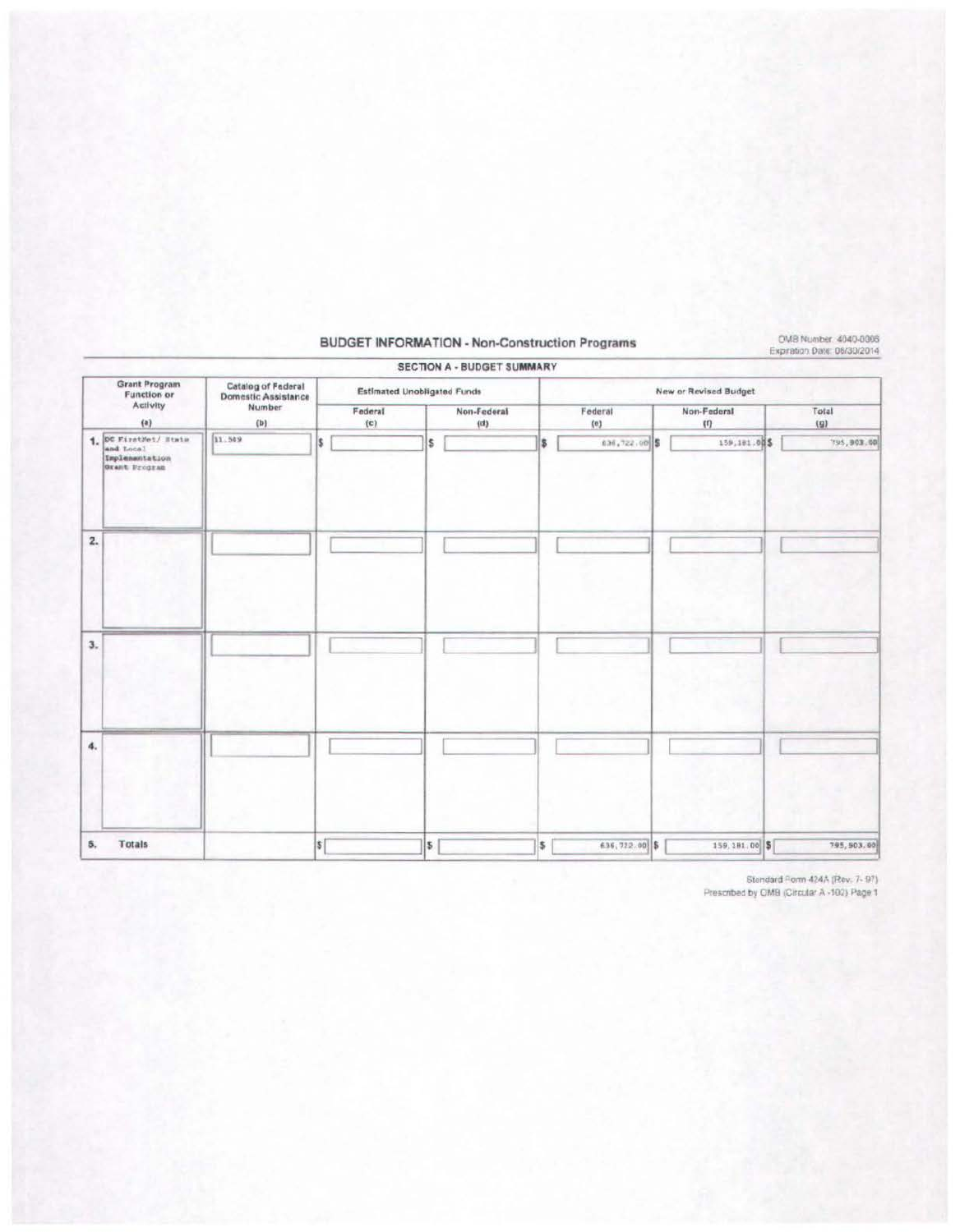### **BUDGET INFORMATION - Non-Construction Programs**

OMB Number 4040-0006<br>Expration Date: 06/30/2014

|                                                                                   |               |                | <b>SECTION A - BUDGET SUMMARY</b>  |    |                       |                    | APPLICATION CONTACT CONTACT CONTACT CONTACT RECEIVED A CALL |  |  |  |
|-----------------------------------------------------------------------------------|---------------|----------------|------------------------------------|----|-----------------------|--------------------|-------------------------------------------------------------|--|--|--|
| <b>Grant Program</b><br>Catalog of Federal<br>Domestic Assistance<br>Function or  |               |                | <b>Estimated Unobligated Funds</b> |    | New or Revised Budget |                    |                                                             |  |  |  |
| Activity<br>(a)                                                                   | Number<br>(b) | Federal<br>(c) | Non-Federal<br>(d)                 |    | Federal<br>(e)        | Non-Federal<br>(1) | Total<br>(g)                                                |  |  |  |
| $1.$ OC FirstNet/ State<br>and Local<br>11.549<br>Implementation<br>Grant Program |               | l\$            | l\$                                | s. | 836,722.00 \$         | 159,181.00\$       | 795,903.00                                                  |  |  |  |
| 2.                                                                                |               |                |                                    |    |                       |                    |                                                             |  |  |  |
| 3.                                                                                |               |                |                                    |    |                       |                    |                                                             |  |  |  |
| 4.                                                                                |               |                |                                    |    |                       |                    |                                                             |  |  |  |
| <b>Totals</b><br>5.                                                               |               | <b>S</b>       | \$                                 | \$ | 636, 722.00 \$        | 159.181.00 \$      | 795, 503.60                                                 |  |  |  |

Stendard Form 424A (Rev. 7-97)<br>Prescribed by CMB (Circular A -102) Page 1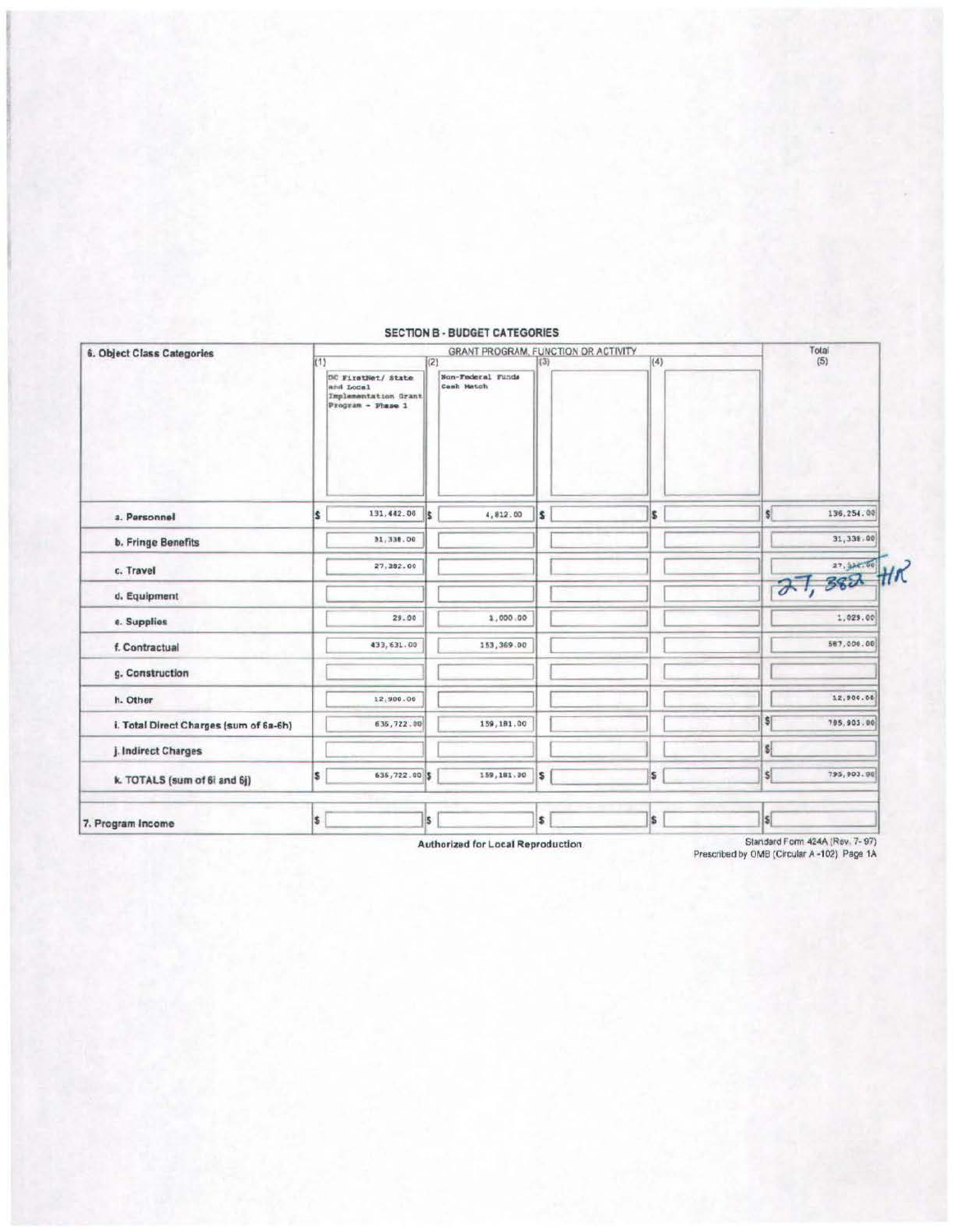| 6. Object Class Categories             |                                                                                    | Total           |                                                                               |     |     |                             |  |  |
|----------------------------------------|------------------------------------------------------------------------------------|-----------------|-------------------------------------------------------------------------------|-----|-----|-----------------------------|--|--|
|                                        | k1<br>DC FirstNet/ State<br>and Local<br>Implementation Grant<br>Program - Phase 1 |                 | GRANT PROGRAM, FUNCTION OR ACTIVITY<br>(2)<br>Non-Federal Funds<br>Canh Match | (3) | (4) | (5)                         |  |  |
| a. Personnel                           | ls.                                                                                | 131,442.00<br>k | 4,812.00                                                                      | ls. | s.  | 136.254.00<br>\$Î           |  |  |
| <b>b. Fringe Benefits</b>              |                                                                                    | 31,338.00       |                                                                               |     |     | 31,338.00                   |  |  |
| c. Travel                              |                                                                                    | 27.382.00       |                                                                               |     |     | $27, 382$ the               |  |  |
| d. Equipment                           |                                                                                    |                 |                                                                               |     |     |                             |  |  |
| e. Supplies                            |                                                                                    | 29.00           | 1,000.00                                                                      |     |     | 1,029.00                    |  |  |
| f. Contractual                         |                                                                                    | 433,631.00      | 153,369.00                                                                    |     |     | 587,000.00                  |  |  |
| g. Construction                        |                                                                                    |                 |                                                                               |     |     |                             |  |  |
| h. Other                               |                                                                                    | 12,900.00       |                                                                               |     |     | 12,900.00                   |  |  |
| i. Total Direct Charges (sum of 6a-6h) |                                                                                    | 635,722.00      | 159, 181.00                                                                   |     |     | 5<br>795.903.00             |  |  |
| j. Indirect Charges                    |                                                                                    |                 |                                                                               |     |     | s                           |  |  |
| k. TOTALS (sum of 6) and 6j)           | l\$                                                                                | 635,722.00 \$   | 159,181.00                                                                    | l\$ | s   | $\mathsf{s}$<br>795, 903.00 |  |  |
| 7. Program Income                      | i\$                                                                                | İ\$.            |                                                                               | \$  | \$  | IS!                         |  |  |

### **SECTION B - BUDGET CATEGORIES**

Authorized for Local Reproduction

Standard Form 424A (Rev. 7-97)<br>Prescribed by OMB (Circular A -102) Page 1A